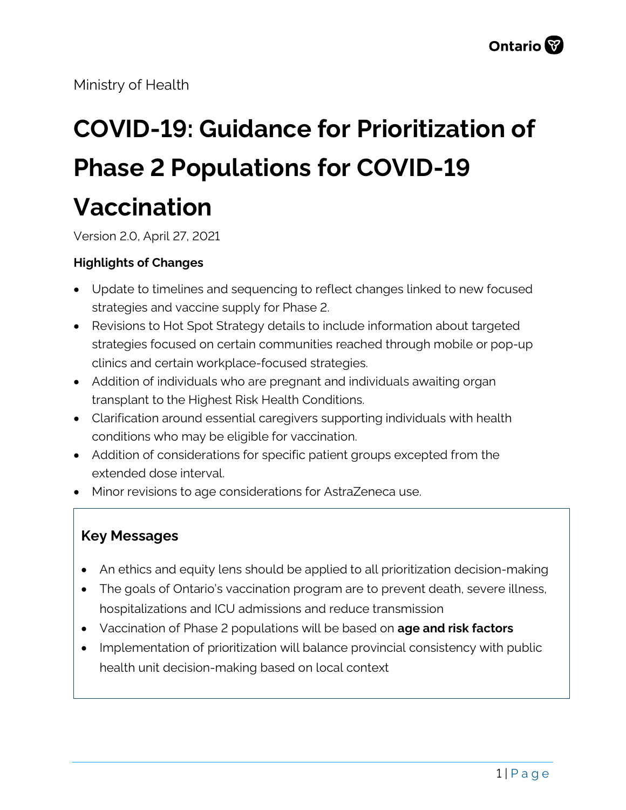Ministry of Health

# **COVID-19: Guidance for Prioritization of Phase 2 Populations for COVID-19 Vaccination**

Version 2.0, April 27, 2021

#### **Highlights of Changes**

- Update to timelines and sequencing to reflect changes linked to new focused strategies and vaccine supply for Phase 2.
- Revisions to Hot Spot Strategy details to include information about targeted strategies focused on certain communities reached through mobile or pop-up clinics and certain workplace-focused strategies.
- Addition of individuals who are pregnant and individuals awaiting organ transplant to the Highest Risk Health Conditions.
- Clarification around essential caregivers supporting individuals with health conditions who may be eligible for vaccination.
- Addition of considerations for specific patient groups excepted from the extended dose interval.
- Minor revisions to age considerations for AstraZeneca use.

#### **Key Messages**

- An ethics and equity lens should be applied to all prioritization decision-making
- The goals of Ontario's vaccination program are to prevent death, severe illness, hospitalizations and ICU admissions and reduce transmission
- Vaccination of Phase 2 populations will be based on **age and risk factors**
- Implementation of prioritization will balance provincial consistency with public health unit decision-making based on local context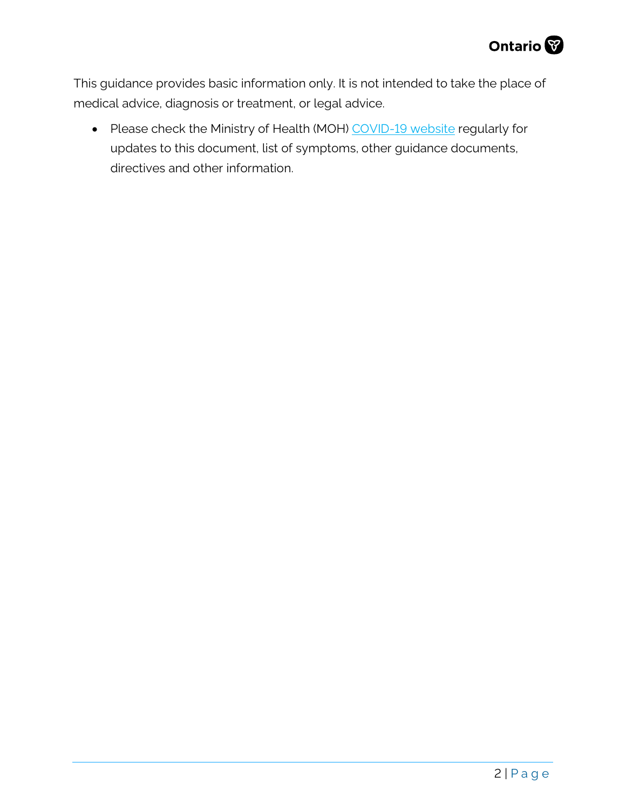

This guidance provides basic information only. It is not intended to take the place of medical advice, diagnosis or treatment, or legal advice.

• Please check the Ministry of Health (MOH) [COVID-19 website](http://www.health.gov.on.ca/en/pro/programs/publichealth/coronavirus/2019_guidance.aspx) regularly for updates to this document, list of symptoms, other guidance documents, directives and other information.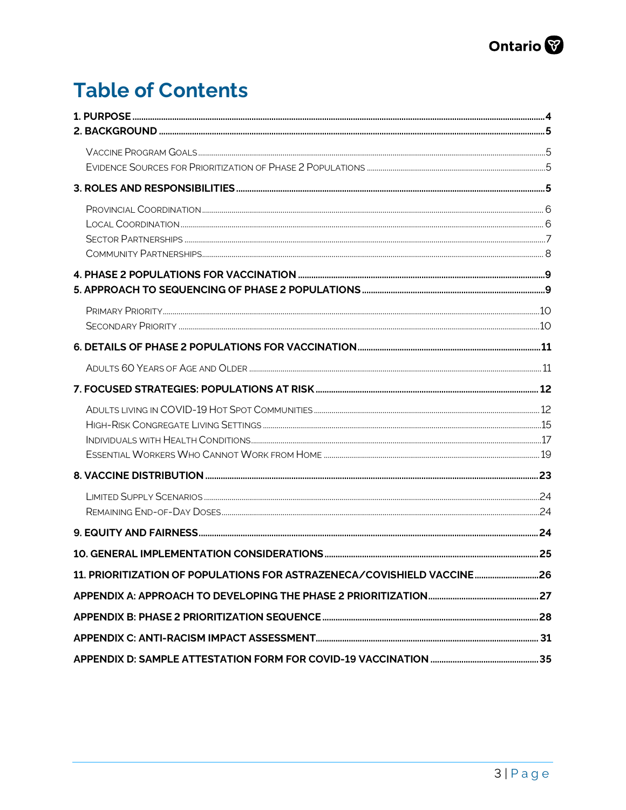## **Table of Contents**

| 11. PRIORITIZATION OF POPULATIONS FOR ASTRAZENECA/COVISHIELD VACCINE26 |  |
|------------------------------------------------------------------------|--|
|                                                                        |  |
|                                                                        |  |
|                                                                        |  |
|                                                                        |  |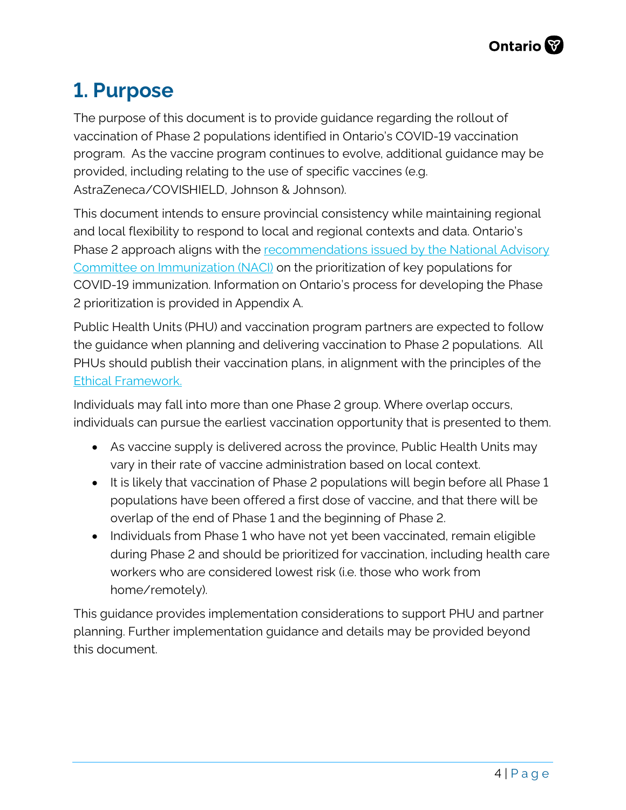## <span id="page-3-0"></span>**1. Purpose**

The purpose of this document is to provide guidance regarding the rollout of vaccination of Phase 2 populations identified in Ontario's COVID-19 vaccination program. As the vaccine program continues to evolve, additional guidance may be provided, including relating to the use of specific vaccines (e.g. AstraZeneca/COVISHIELD, Johnson & Johnson).

This document intends to ensure provincial consistency while maintaining regional and local flexibility to respond to local and regional contexts and data. Ontario's Phase 2 approach aligns with the [recommendations issued by the National Advisory](https://www.canada.ca/en/public-health/services/immunization/national-advisory-committee-on-immunization-naci/guidance-prioritization-key-populations-covid-19-vaccination.html#a3)  [Committee on Immunization \(NACI\)](https://www.canada.ca/en/public-health/services/immunization/national-advisory-committee-on-immunization-naci/guidance-prioritization-key-populations-covid-19-vaccination.html#a3) on the prioritization of key populations for COVID-19 immunization. Information on Ontario's process for developing the Phase 2 prioritization is provided in Appendix A.

Public Health Units (PHU) and vaccination program partners are expected to follow the guidance when planning and delivering vaccination to Phase 2 populations. All PHUs should publish their vaccination plans, in alignment with the principles of the [Ethical Framework.](https://files.ontario.ca/moh-ethical-framework-for-covid-19-vaccine-distribution-en-2020-12-30.pdf) 

Individuals may fall into more than one Phase 2 group. Where overlap occurs, individuals can pursue the earliest vaccination opportunity that is presented to them.

- As vaccine supply is delivered across the province, Public Health Units may vary in their rate of vaccine administration based on local context.
- It is likely that vaccination of Phase 2 populations will begin before all Phase 1 populations have been offered a first dose of vaccine, and that there will be overlap of the end of Phase 1 and the beginning of Phase 2.
- Individuals from Phase 1 who have not yet been vaccinated, remain eligible during Phase 2 and should be prioritized for vaccination, including health care workers who are considered lowest risk (i.e. those who work from home/remotely).

<span id="page-3-1"></span>This guidance provides implementation considerations to support PHU and partner planning. Further implementation guidance and details may be provided beyond this document.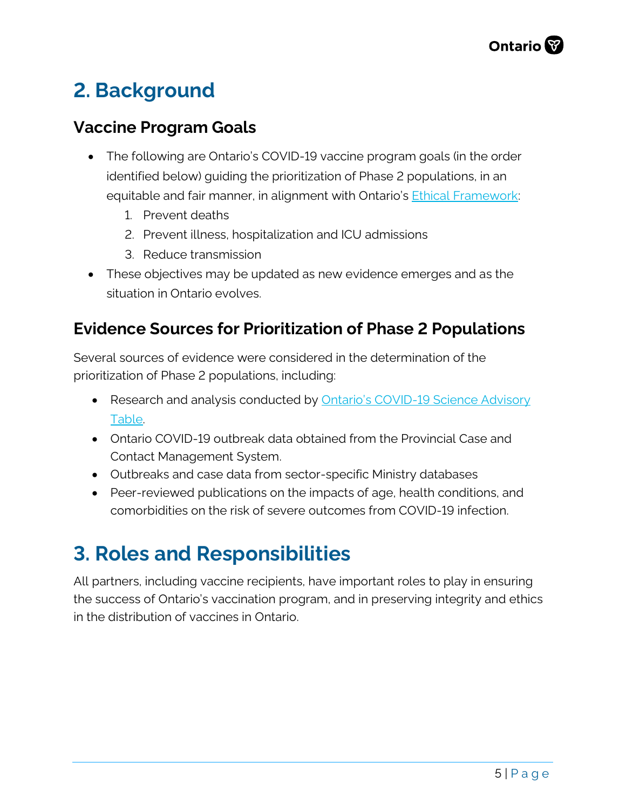## **2. Background**

### <span id="page-4-0"></span>**Vaccine Program Goals**

- The following are Ontario's COVID-19 vaccine program goals (in the order identified below) guiding the prioritization of Phase 2 populations, in an equitable and fair manner, in alignment with Ontario's **[Ethical Framework:](https://files.ontario.ca/moh-ethical-framework-for-covid-19-vaccine-distribution-en-2020-12-30.pdf)** 
	- 1. Prevent deaths
	- 2. Prevent illness, hospitalization and ICU admissions
	- 3. Reduce transmission
- These objectives may be updated as new evidence emerges and as the situation in Ontario evolves.

### <span id="page-4-1"></span>**Evidence Sources for Prioritization of Phase 2 Populations**

Several sources of evidence were considered in the determination of the prioritization of Phase 2 populations, including:

- Research and analysis conducted by **Ontario's COVID-19 Science Advisory** [Table.](https://covid19-sciencetable.ca/)
- Ontario COVID-19 outbreak data obtained from the Provincial Case and Contact Management System.
- Outbreaks and case data from sector-specific Ministry databases
- Peer-reviewed publications on the impacts of age, health conditions, and comorbidities on the risk of severe outcomes from COVID-19 infection.

## <span id="page-4-2"></span>**3. Roles and Responsibilities**

All partners, including vaccine recipients, have important roles to play in ensuring the success of Ontario's vaccination program, and in preserving integrity and ethics in the distribution of vaccines in Ontario.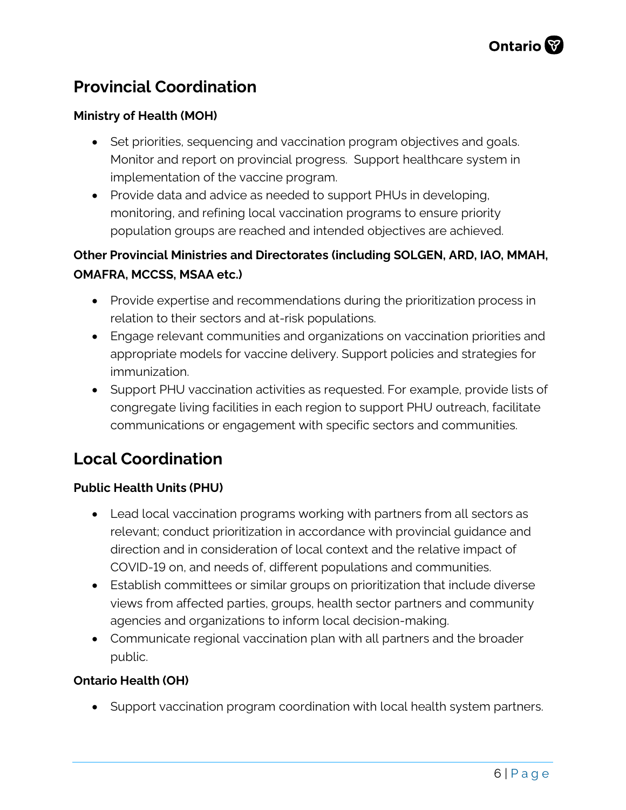## <span id="page-5-0"></span>**Provincial Coordination**

#### **Ministry of Health (MOH)**

- Set priorities, sequencing and vaccination program objectives and goals. Monitor and report on provincial progress. Support healthcare system in implementation of the vaccine program.
- Provide data and advice as needed to support PHUs in developing, monitoring, and refining local vaccination programs to ensure priority population groups are reached and intended objectives are achieved.

#### **Other Provincial Ministries and Directorates (including SOLGEN, ARD, IAO, MMAH, OMAFRA, MCCSS, MSAA etc.)**

- Provide expertise and recommendations during the prioritization process in relation to their sectors and at-risk populations.
- Engage relevant communities and organizations on vaccination priorities and appropriate models for vaccine delivery. Support policies and strategies for immunization.
- Support PHU vaccination activities as requested. For example, provide lists of congregate living facilities in each region to support PHU outreach, facilitate communications or engagement with specific sectors and communities.

### <span id="page-5-1"></span>**Local Coordination**

#### **Public Health Units (PHU)**

- Lead local vaccination programs working with partners from all sectors as relevant; conduct prioritization in accordance with provincial guidance and direction and in consideration of local context and the relative impact of COVID-19 on, and needs of, different populations and communities.
- Establish committees or similar groups on prioritization that include diverse views from affected parties, groups, health sector partners and community agencies and organizations to inform local decision-making.
- Communicate regional vaccination plan with all partners and the broader public.

#### **Ontario Health (OH)**

• Support vaccination program coordination with local health system partners.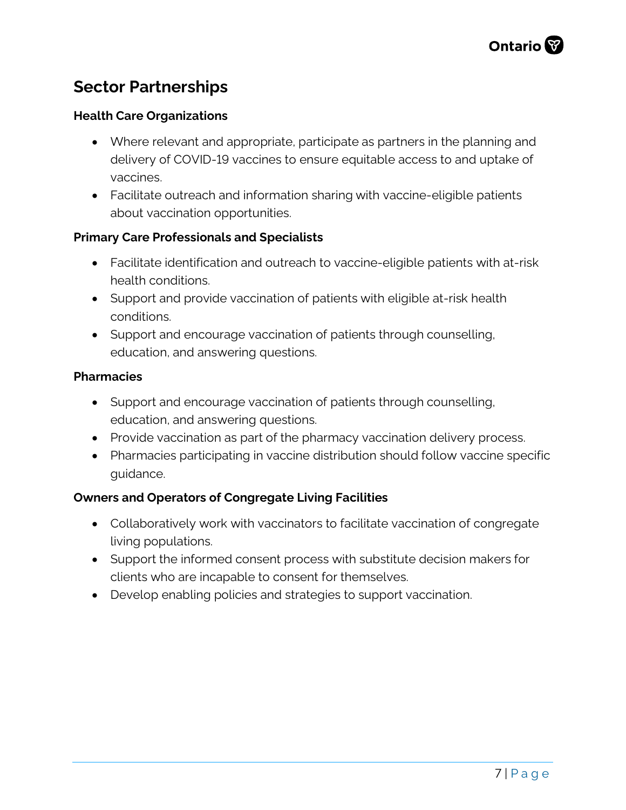## <span id="page-6-0"></span>**Sector Partnerships**

#### **Health Care Organizations**

- Where relevant and appropriate, participate as partners in the planning and delivery of COVID-19 vaccines to ensure equitable access to and uptake of vaccines.
- Facilitate outreach and information sharing with vaccine-eligible patients about vaccination opportunities.

#### **Primary Care Professionals and Specialists**

- Facilitate identification and outreach to vaccine-eligible patients with at-risk health conditions.
- Support and provide vaccination of patients with eligible at-risk health conditions.
- Support and encourage vaccination of patients through counselling, education, and answering questions.

#### **Pharmacies**

- Support and encourage vaccination of patients through counselling, education, and answering questions.
- Provide vaccination as part of the pharmacy vaccination delivery process.
- Pharmacies participating in vaccine distribution should follow vaccine specific guidance.

#### **Owners and Operators of Congregate Living Facilities**

- Collaboratively work with vaccinators to facilitate vaccination of congregate living populations.
- Support the informed consent process with substitute decision makers for clients who are incapable to consent for themselves.
- <span id="page-6-1"></span>• Develop enabling policies and strategies to support vaccination.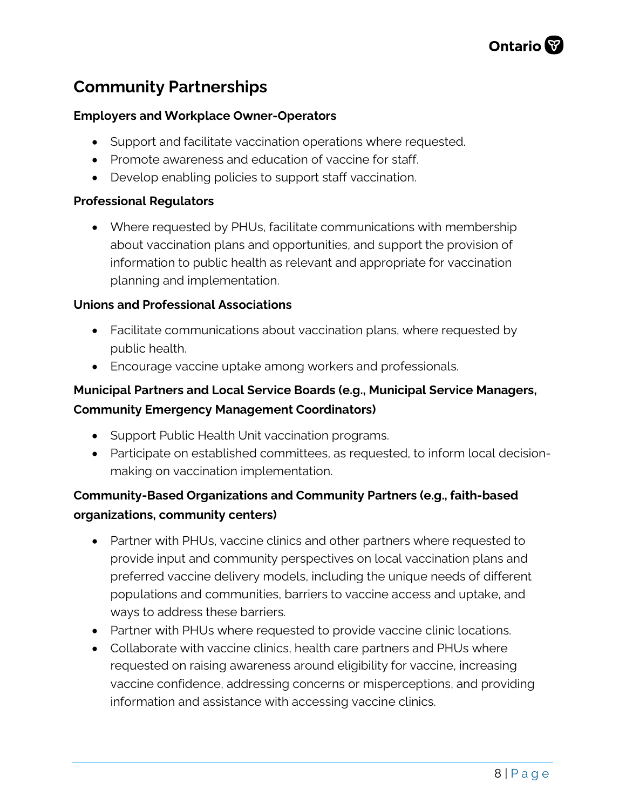## **Community Partnerships**

#### **Employers and Workplace Owner-Operators**

- Support and facilitate vaccination operations where requested.
- Promote awareness and education of vaccine for staff.
- Develop enabling policies to support staff vaccination.

#### **Professional Regulators**

• Where requested by PHUs, facilitate communications with membership about vaccination plans and opportunities, and support the provision of information to public health as relevant and appropriate for vaccination planning and implementation.

#### **Unions and Professional Associations**

- Facilitate communications about vaccination plans, where requested by public health.
- Encourage vaccine uptake among workers and professionals.

#### **Municipal Partners and Local Service Boards (e.g., Municipal Service Managers, Community Emergency Management Coordinators)**

- Support Public Health Unit vaccination programs.
- Participate on established committees, as requested, to inform local decisionmaking on vaccination implementation.

#### **Community-Based Organizations and Community Partners (e.g., faith-based organizations, community centers)**

- Partner with PHUs, vaccine clinics and other partners where requested to provide input and community perspectives on local vaccination plans and preferred vaccine delivery models, including the unique needs of different populations and communities, barriers to vaccine access and uptake, and ways to address these barriers.
- Partner with PHUs where requested to provide vaccine clinic locations.
- Collaborate with vaccine clinics, health care partners and PHUs where requested on raising awareness around eligibility for vaccine, increasing vaccine confidence, addressing concerns or misperceptions, and providing information and assistance with accessing vaccine clinics.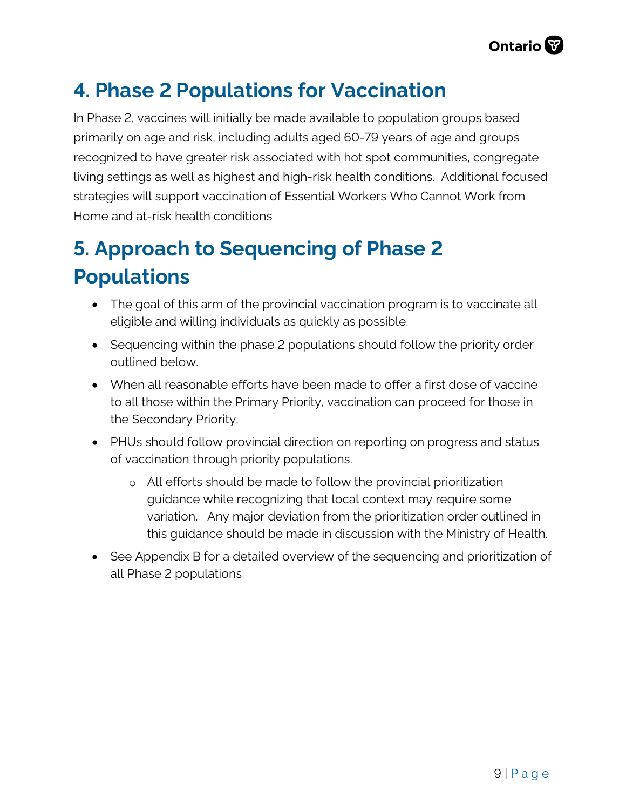

## <span id="page-8-0"></span>**4. Phase 2 Populations for Vaccination**

In Phase 2, vaccines will initially be made available to population groups based primarily on age and risk, including adults aged 60-79 years of age and groups recognized to have greater risk associated with hot spot communities, congregate living settings as well as highest and high-risk health conditions. Additional focused strategies will support vaccination of Essential Workers Who Cannot Work from Home and at-risk health conditions

## <span id="page-8-1"></span>**5. Approach to Sequencing of Phase 2 Populations**

- The goal of this arm of the provincial vaccination program is to vaccinate all eligible and willing individuals as quickly as possible.
- Sequencing within the phase 2 populations should follow the priority order outlined below.
- When all reasonable efforts have been made to offer a first dose of vaccine to all those within the Primary Priority, vaccination can proceed for those in the Secondary Priority.
- PHUs should follow provincial direction on reporting on progress and status of vaccination through priority populations.
	- o All efforts should be made to follow the provincial prioritization guidance while recognizing that local context may require some variation. Any major deviation from the prioritization order outlined in this guidance should be made in discussion with the Ministry of Health.
- <span id="page-8-2"></span>• See Appendix B for a detailed overview of the sequencing and prioritization of all Phase 2 populations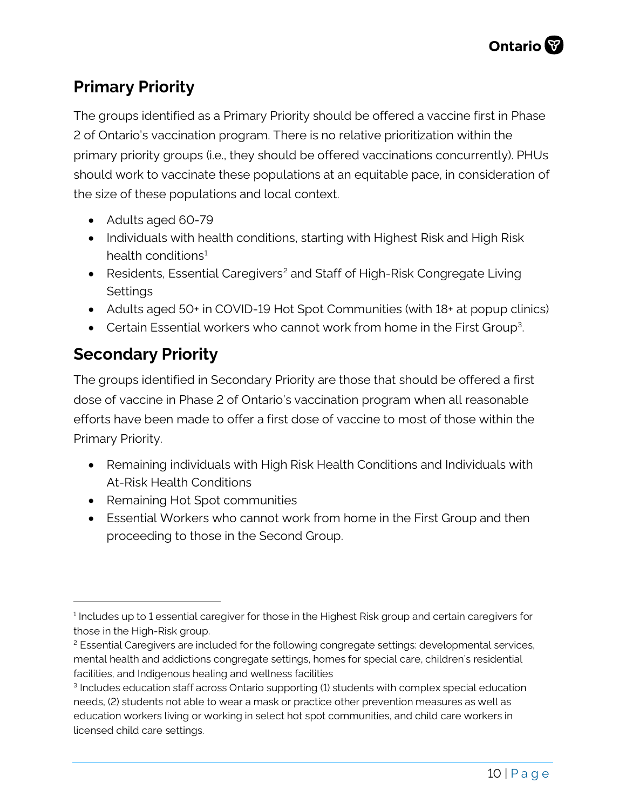## **Primary Priority**

The groups identified as a Primary Priority should be offered a vaccine first in Phase 2 of Ontario's vaccination program. There is no relative prioritization within the primary priority groups (i.e., they should be offered vaccinations concurrently). PHUs should work to vaccinate these populations at an equitable pace, in consideration of the size of these populations and local context.

- Adults aged 60-79
- Individuals with health conditions, starting with Highest Risk and High Risk health conditions<sup>[1](#page-9-1)</sup>
- Residents, Essential Caregivers<sup>[2](#page-9-2)</sup> and Staff of High-Risk Congregate Living **Settings**
- Adults aged 50+ in COVID-19 Hot Spot Communities (with 18+ at popup clinics)
- Certain Essential workers who cannot work from home in the First Group<sup>3</sup>.

## <span id="page-9-0"></span>**Secondary Priority**

The groups identified in Secondary Priority are those that should be offered a first dose of vaccine in Phase 2 of Ontario's vaccination program when all reasonable efforts have been made to offer a first dose of vaccine to most of those within the Primary Priority.

- Remaining individuals with High Risk Health Conditions and Individuals with At-Risk Health Conditions
- Remaining Hot Spot communities
- Essential Workers who cannot work from home in the First Group and then proceeding to those in the Second Group.

<span id="page-9-1"></span><sup>&</sup>lt;sup>1</sup> Includes up to 1 essential caregiver for those in the Highest Risk group and certain caregivers for those in the High-Risk group.

<span id="page-9-2"></span><sup>&</sup>lt;sup>2</sup> Essential Caregivers are included for the following congregate settings: developmental services, mental health and addictions congregate settings, homes for special care, children's residential facilities, and Indigenous healing and wellness facilities

<span id="page-9-3"></span><sup>3</sup> Includes education staff across Ontario supporting (1) students with complex special education needs, (2) students not able to wear a mask or practice other prevention measures as well as education workers living or working in select hot spot communities, and child care workers in licensed child care settings.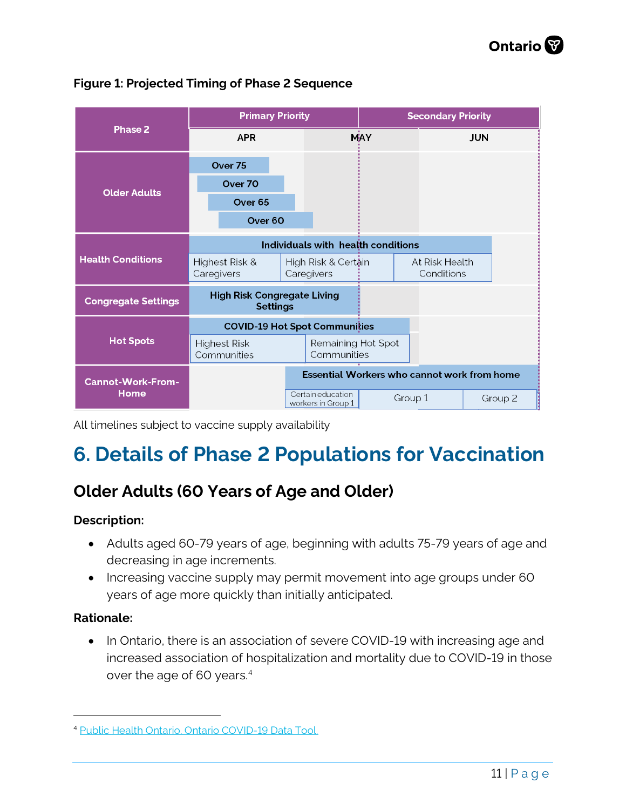

#### **Figure 1: Projected Timing of Phase 2 Sequence**

All timelines subject to vaccine supply availability

## <span id="page-10-0"></span>**6. Details of Phase 2 Populations for Vaccination**

## <span id="page-10-1"></span>**Older Adults (60 Years of Age and Older)**

#### **Description:**

- Adults aged 60-79 years of age, beginning with adults 75-79 years of age and decreasing in age increments.
- Increasing vaccine supply may permit movement into age groups under 60 years of age more quickly than initially anticipated.

#### **Rationale:**

• In Ontario, there is an association of severe COVID-19 with increasing age and increased association of hospitalization and mortality due to COVID-19 in those over the age of 60 years.[4](#page-10-2)

<span id="page-10-2"></span><sup>4</sup> [Public Health Ontario. Ontario COVID-19 Data Tool.](https://www.publichealthontario.ca/en/data-and-analysis/infectious-disease/covid-19-data-surveillance/covid-19-data-tool?tab=summary)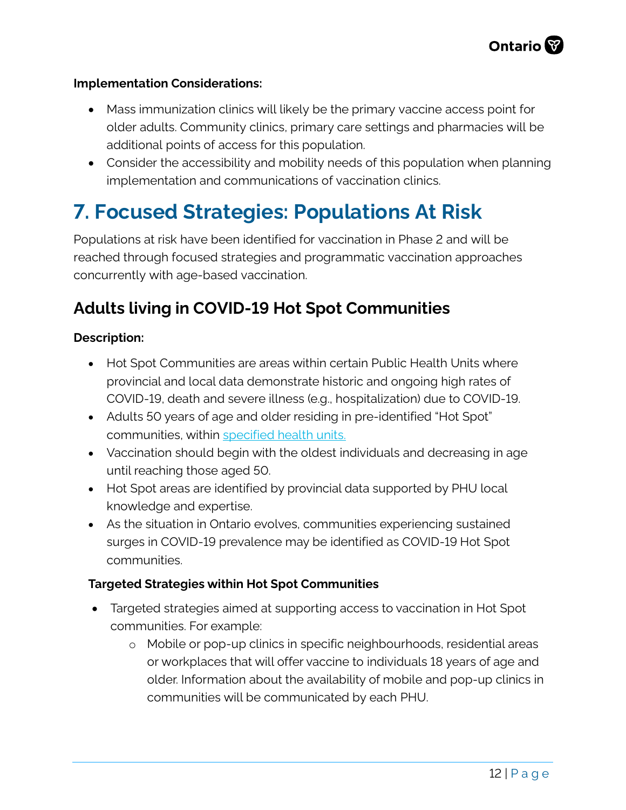#### **Implementation Considerations:**

- Mass immunization clinics will likely be the primary vaccine access point for older adults. Community clinics, primary care settings and pharmacies will be additional points of access for this population.
- Consider the accessibility and mobility needs of this population when planning implementation and communications of vaccination clinics.

## <span id="page-11-0"></span>**7. Focused Strategies: Populations At Risk**

Populations at risk have been identified for vaccination in Phase 2 and will be reached through focused strategies and programmatic vaccination approaches concurrently with age-based vaccination.

### <span id="page-11-1"></span>**Adults living in COVID-19 Hot Spot Communities**

#### **Description:**

- Hot Spot Communities are areas within certain Public Health Units where provincial and local data demonstrate historic and ongoing high rates of COVID-19, death and severe illness (e.g., hospitalization) due to COVID-19.
- Adults 50 years of age and older residing in pre-identified "Hot Spot" communities, within [specified health units.](https://news.ontario.ca/en/backgrounder/60570/populations-eligible-for-phase-two-covid-19-vaccination)
- Vaccination should begin with the oldest individuals and decreasing in age until reaching those aged 50.
- Hot Spot areas are identified by provincial data supported by PHU local knowledge and expertise.
- As the situation in Ontario evolves, communities experiencing sustained surges in COVID-19 prevalence may be identified as COVID-19 Hot Spot communities.

#### **Targeted Strategies within Hot Spot Communities**

- Targeted strategies aimed at supporting access to vaccination in Hot Spot communities. For example:
	- o Mobile or pop-up clinics in specific neighbourhoods, residential areas or workplaces that will offer vaccine to individuals 18 years of age and older. Information about the availability of mobile and pop-up clinics in communities will be communicated by each PHU.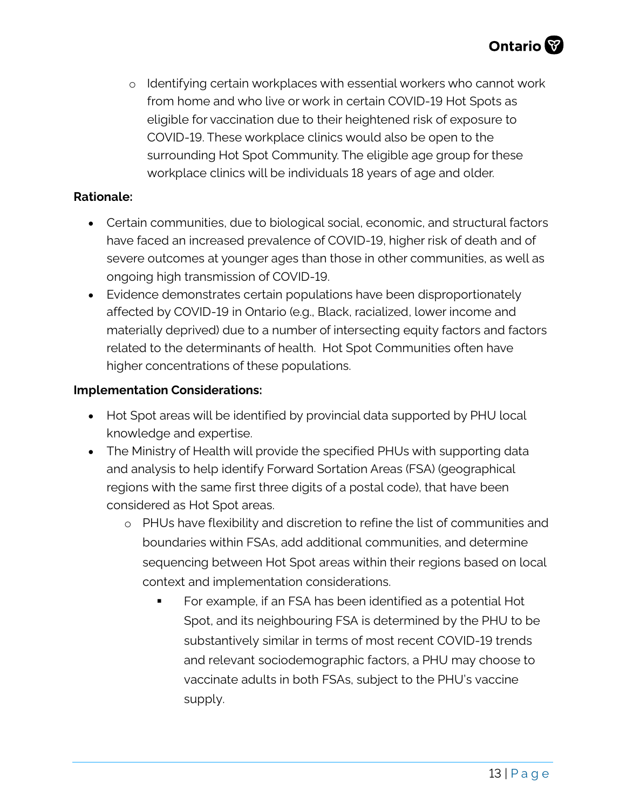o Identifying certain workplaces with essential workers who cannot work from home and who live or work in certain COVID-19 Hot Spots as eligible for vaccination due to their heightened risk of exposure to COVID-19. These workplace clinics would also be open to the surrounding Hot Spot Community. The eligible age group for these workplace clinics will be individuals 18 years of age and older.

#### **Rationale:**

- Certain communities, due to biological social, economic, and structural factors have faced an increased prevalence of COVID-19, higher risk of death and of severe outcomes at younger ages than those in other communities, as well as ongoing high transmission of COVID-19.
- Evidence demonstrates certain populations have been disproportionately affected by COVID-19 in Ontario (e.g., Black, racialized, lower income and materially deprived) due to a number of intersecting equity factors and factors related to the determinants of health. Hot Spot Communities often have higher concentrations of these populations.

#### **Implementation Considerations:**

- Hot Spot areas will be identified by provincial data supported by PHU local knowledge and expertise.
- The Ministry of Health will provide the specified PHUs with supporting data and analysis to help identify Forward Sortation Areas (FSA) (geographical regions with the same first three digits of a postal code), that have been considered as Hot Spot areas.
	- o PHUs have flexibility and discretion to refine the list of communities and boundaries within FSAs, add additional communities, and determine sequencing between Hot Spot areas within their regions based on local context and implementation considerations.
		- For example, if an FSA has been identified as a potential Hot Spot, and its neighbouring FSA is determined by the PHU to be substantively similar in terms of most recent COVID-19 trends and relevant sociodemographic factors, a PHU may choose to vaccinate adults in both FSAs, subject to the PHU's vaccine supply.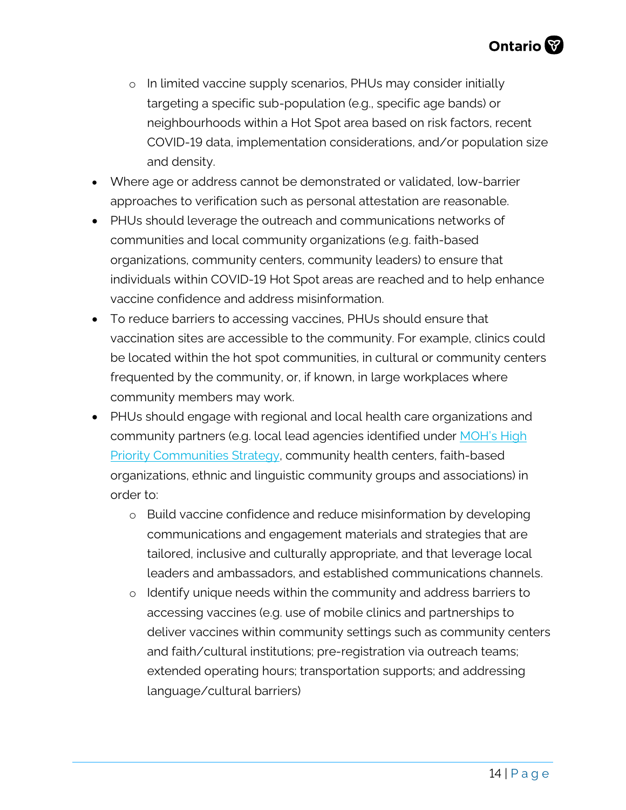- o In limited vaccine supply scenarios, PHUs may consider initially targeting a specific sub-population (e.g., specific age bands) or neighbourhoods within a Hot Spot area based on risk factors, recent COVID-19 data, implementation considerations, and/or population size and density.
- Where age or address cannot be demonstrated or validated, low-barrier approaches to verification such as personal attestation are reasonable.
- PHUs should leverage the outreach and communications networks of communities and local community organizations (e.g. faith-based organizations, community centers, community leaders) to ensure that individuals within COVID-19 Hot Spot areas are reached and to help enhance vaccine confidence and address misinformation.
- To reduce barriers to accessing vaccines, PHUs should ensure that vaccination sites are accessible to the community. For example, clinics could be located within the hot spot communities, in cultural or community centers frequented by the community, or, if known, in large workplaces where community members may work.
- <span id="page-13-0"></span>• PHUs should engage with regional and local health care organizations and community partners (e.g. local lead agencies identified under MOH's High [Priority Communities Strategy,](https://news.ontario.ca/en/backgrounder/59793/ontario-supporting-high-priority-communities) community health centers, faith-based organizations, ethnic and linguistic community groups and associations) in order to:
	- o Build vaccine confidence and reduce misinformation by developing communications and engagement materials and strategies that are tailored, inclusive and culturally appropriate, and that leverage local leaders and ambassadors, and established communications channels.
	- o Identify unique needs within the community and address barriers to accessing vaccines (e.g. use of mobile clinics and partnerships to deliver vaccines within community settings such as community centers and faith/cultural institutions; pre-registration via outreach teams; extended operating hours; transportation supports; and addressing language/cultural barriers)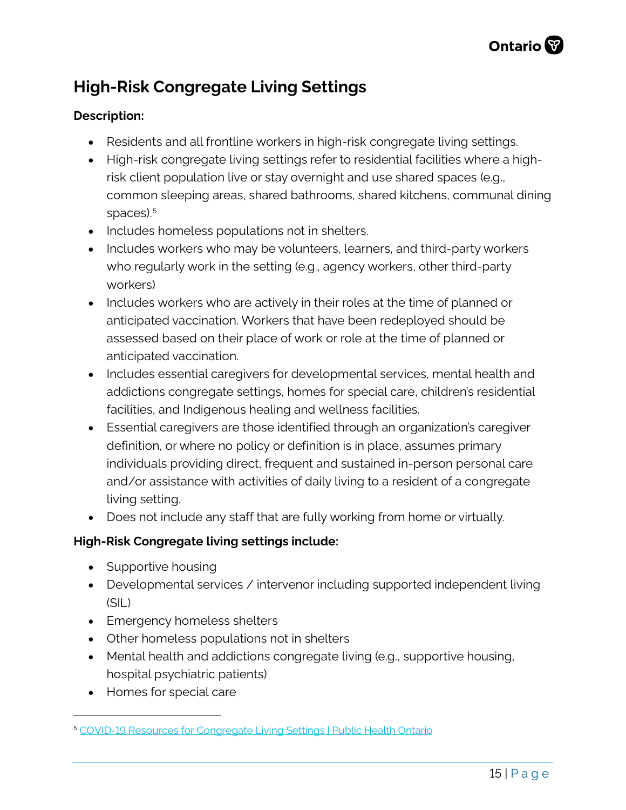## **High-Risk Congregate Living Settings**

#### **Description:**

- Residents and all frontline workers in high-risk congregate living settings.
- High-risk congregate living settings refer to residential facilities where a highrisk client population live or stay overnight and use shared spaces (e.g., common sleeping areas, shared bathrooms, shared kitchens, communal dining spaces).<sup>[5](#page-14-0)</sup>
- Includes homeless populations not in shelters.
- Includes workers who may be volunteers, learners, and third-party workers who regularly work in the setting (e.g., agency workers, other third-party workers)
- Includes workers who are actively in their roles at the time of planned or anticipated vaccination. Workers that have been redeployed should be assessed based on their place of work or role at the time of planned or anticipated vaccination.
- Includes essential caregivers for developmental services, mental health and addictions congregate settings, homes for special care, children's residential facilities, and Indigenous healing and wellness facilities.
- Essential caregivers are those identified through an organization's caregiver definition, or where no policy or definition is in place, assumes primary individuals providing direct, frequent and sustained in-person personal care and/or assistance with activities of daily living to a resident of a congregate living setting.
- Does not include any staff that are fully working from home or virtually.

#### **High-Risk Congregate living settings include:**

- Supportive housing
- Developmental services / intervenor including supported independent living (SIL)
- Emergency homeless shelters
- Other homeless populations not in shelters
- Mental health and addictions congregate living (e.g., supportive housing, hospital psychiatric patients)
- Homes for special care

<span id="page-14-0"></span><sup>5</sup> [COVID-19 Resources for Congregate Living Settings | Public Health Ontario](https://www.publichealthontario.ca/en/diseases-and-conditions/infectious-diseases/respiratory-diseases/novel-coronavirus/congregate-living-settings-resources)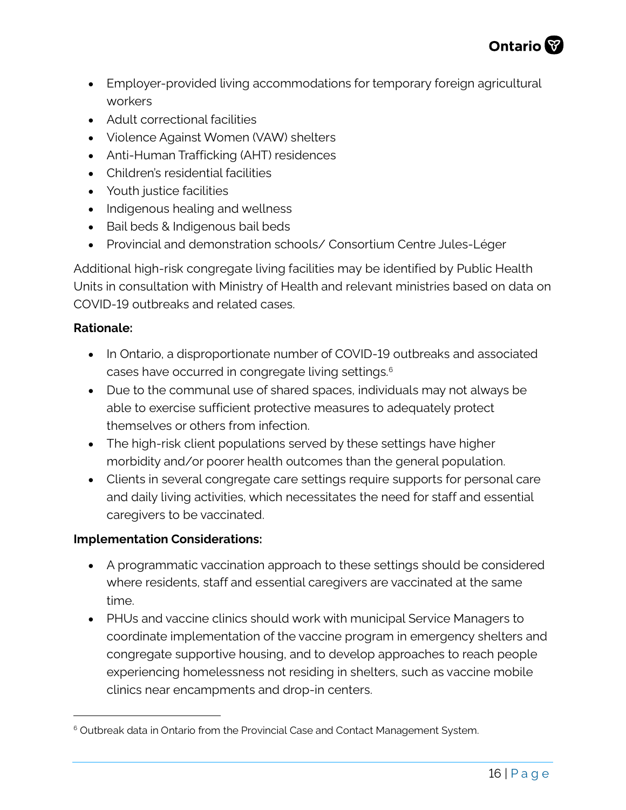

- Employer-provided living accommodations for temporary foreign agricultural workers
- Adult correctional facilities
- Violence Against Women (VAW) shelters
- Anti-Human Trafficking (AHT) residences
- Children's residential facilities
- Youth justice facilities
- Indigenous healing and wellness
- Bail beds & Indigenous bail beds
- Provincial and demonstration schools/ Consortium Centre Jules-Léger

Additional high-risk congregate living facilities may be identified by Public Health Units in consultation with Ministry of Health and relevant ministries based on data on COVID-19 outbreaks and related cases.

#### **Rationale:**

- In Ontario, a disproportionate number of COVID-19 outbreaks and associated cases have occurred in congregate living settings[.6](#page-15-0)
- Due to the communal use of shared spaces, individuals may not always be able to exercise sufficient protective measures to adequately protect themselves or others from infection.
- The high-risk client populations served by these settings have higher morbidity and/or poorer health outcomes than the general population.
- Clients in several congregate care settings require supports for personal care and daily living activities, which necessitates the need for staff and essential caregivers to be vaccinated.

#### **Implementation Considerations:**

- A programmatic vaccination approach to these settings should be considered where residents, staff and essential caregivers are vaccinated at the same time.
- PHUs and vaccine clinics should work with municipal Service Managers to coordinate implementation of the vaccine program in emergency shelters and congregate supportive housing, and to develop approaches to reach people experiencing homelessness not residing in shelters, such as vaccine mobile clinics near encampments and drop-in centers.

<span id="page-15-0"></span><sup>&</sup>lt;sup>6</sup> Outbreak data in Ontario from the Provincial Case and Contact Management System.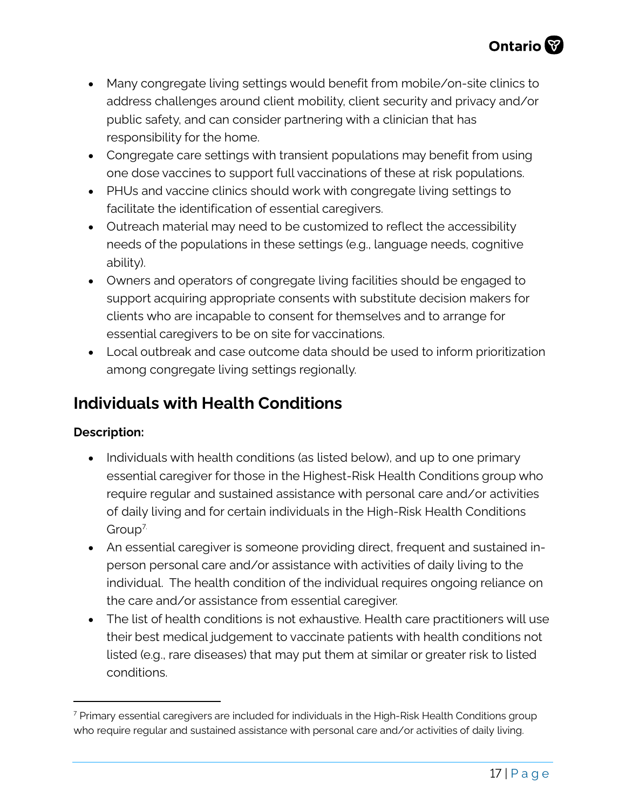- Many congregate living settings would benefit from mobile/on-site clinics to address challenges around client mobility, client security and privacy and/or public safety, and can consider partnering with a clinician that has responsibility for the home.
- Congregate care settings with transient populations may benefit from using one dose vaccines to support full vaccinations of these at risk populations.
- PHUs and vaccine clinics should work with congregate living settings to facilitate the identification of essential caregivers.
- Outreach material may need to be customized to reflect the accessibility needs of the populations in these settings (e.g., language needs, cognitive ability).
- Owners and operators of congregate living facilities should be engaged to support acquiring appropriate consents with substitute decision makers for clients who are incapable to consent for themselves and to arrange for essential caregivers to be on site for vaccinations.
- Local outbreak and case outcome data should be used to inform prioritization among congregate living settings regionally.

## <span id="page-16-0"></span>**Individuals with Health Conditions**

#### **Description:**

- Individuals with health conditions (as listed below), and up to one primary essential caregiver for those in the Highest-Risk Health Conditions group who require regular and sustained assistance with personal care and/or activities of daily living and for certain individuals in the High-Risk Health Conditions Group[7.](#page-16-1)
- An essential caregiver is someone providing direct, frequent and sustained inperson personal care and/or assistance with activities of daily living to the individual. The health condition of the individual requires ongoing reliance on the care and/or assistance from essential caregiver.
- The list of health conditions is not exhaustive. Health care practitioners will use their best medical judgement to vaccinate patients with health conditions not listed (e.g., rare diseases) that may put them at similar or greater risk to listed conditions.

<span id="page-16-1"></span> $7$  Primary essential caregivers are included for individuals in the High-Risk Health Conditions group who require regular and sustained assistance with personal care and/or activities of daily living.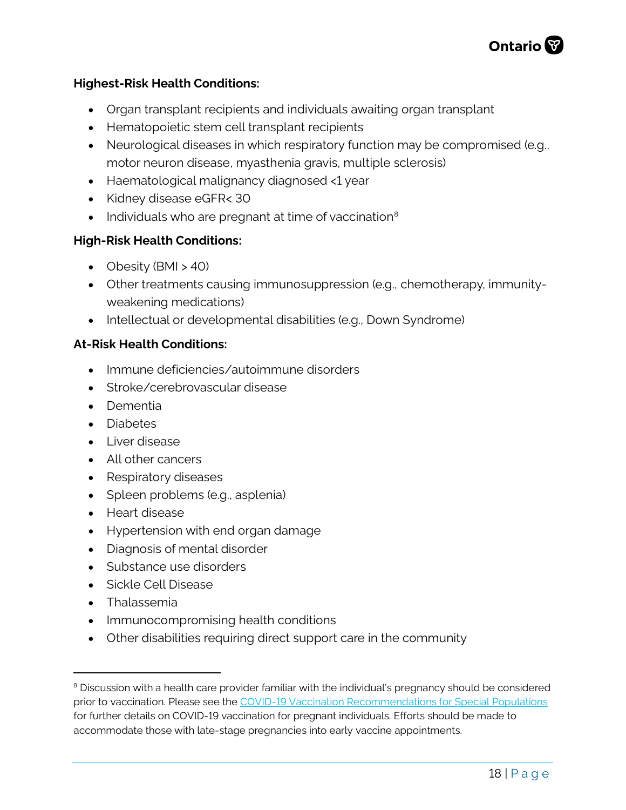

#### **Highest-Risk Health Conditions:**

- Organ transplant recipients and individuals awaiting organ transplant
- Hematopoietic stem cell transplant recipients
- Neurological diseases in which respiratory function may be compromised (e.g., motor neuron disease, myasthenia gravis, multiple sclerosis)
- Haematological malignancy diagnosed <1 year
- Kidney disease eGFR< 30
- Individuals who are pregnant at time of vaccination $8$

#### **High-Risk Health Conditions:**

- Obesity (BMI > 40)
- Other treatments causing immunosuppression (e.g., chemotherapy, immunityweakening medications)
- Intellectual or developmental disabilities (e.g., Down Syndrome)

#### **At-Risk Health Conditions:**

- Immune deficiencies/autoimmune disorders
- Stroke/cerebrovascular disease
- Dementia
- Diabetes
- Liver disease
- All other cancers
- Respiratory diseases
- Spleen problems (e.g., asplenia)
- Heart disease
- Hypertension with end organ damage
- Diagnosis of mental disorder
- Substance use disorders
- Sickle Cell Disease
- Thalassemia
- Immunocompromising health conditions
- Other disabilities requiring direct support care in the community

<span id="page-17-0"></span><sup>&</sup>lt;sup>8</sup> Discussion with a health care provider familiar with the individual's pregnancy should be considered prior to vaccination. Please see the [COVID-19 Vaccination Recommendations for Special Populations](https://www.health.gov.on.ca/en/pro/programs/publichealth/coronavirus/docs/vaccine/COVID-19_vaccination_rec_special_populations.pdf) for further details on COVID-19 vaccination for pregnant individuals. Efforts should be made to accommodate those with late-stage pregnancies into early vaccine appointments.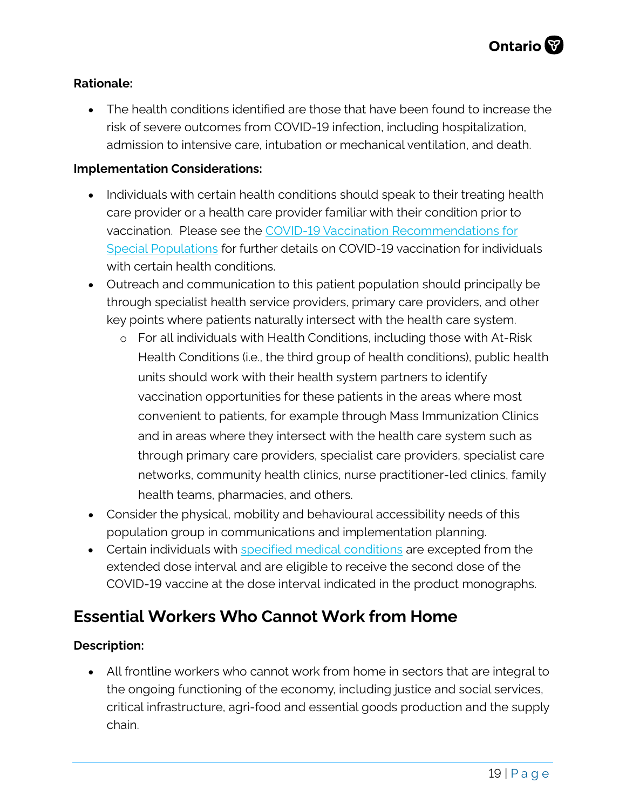#### **Rationale:**

• The health conditions identified are those that have been found to increase the risk of severe outcomes from COVID-19 infection, including hospitalization, admission to intensive care, intubation or mechanical ventilation, and death.

#### **Implementation Considerations:**

- Individuals with certain health conditions should speak to their treating health care provider or a health care provider familiar with their condition prior to vaccination. Please see the [COVID-19 Vaccination Recommendations for](https://www.health.gov.on.ca/en/pro/programs/publichealth/coronavirus/covid19_vaccine.aspx)  [Special Populations](https://www.health.gov.on.ca/en/pro/programs/publichealth/coronavirus/covid19_vaccine.aspx) for further details on COVID-19 vaccination for individuals with certain health conditions.
- Outreach and communication to this patient population should principally be through specialist health service providers, primary care providers, and other key points where patients naturally intersect with the health care system.
	- o For all individuals with Health Conditions, including those with At-Risk Health Conditions (i.e., the third group of health conditions), public health units should work with their health system partners to identify vaccination opportunities for these patients in the areas where most convenient to patients, for example through Mass Immunization Clinics and in areas where they intersect with the health care system such as through primary care providers, specialist care providers, specialist care networks, community health clinics, nurse practitioner-led clinics, family health teams, pharmacies, and others.
- Consider the physical, mobility and behavioural accessibility needs of this population group in communications and implementation planning.
- Certain individuals with [specified medical conditions](https://www.health.gov.on.ca/en/pro/programs/publichealth/coronavirus/docs/vaccine/COVID_19_medical_exceptions_vaccine_dose_intervals.pdf) are excepted from the extended dose interval and are eligible to receive the second dose of the COVID-19 vaccine at the dose interval indicated in the product monographs.

### <span id="page-18-0"></span>**Essential Workers Who Cannot Work from Home**

#### **Description:**

• All frontline workers who cannot work from home in sectors that are integral to the ongoing functioning of the economy, including justice and social services, critical infrastructure, agri-food and essential goods production and the supply chain.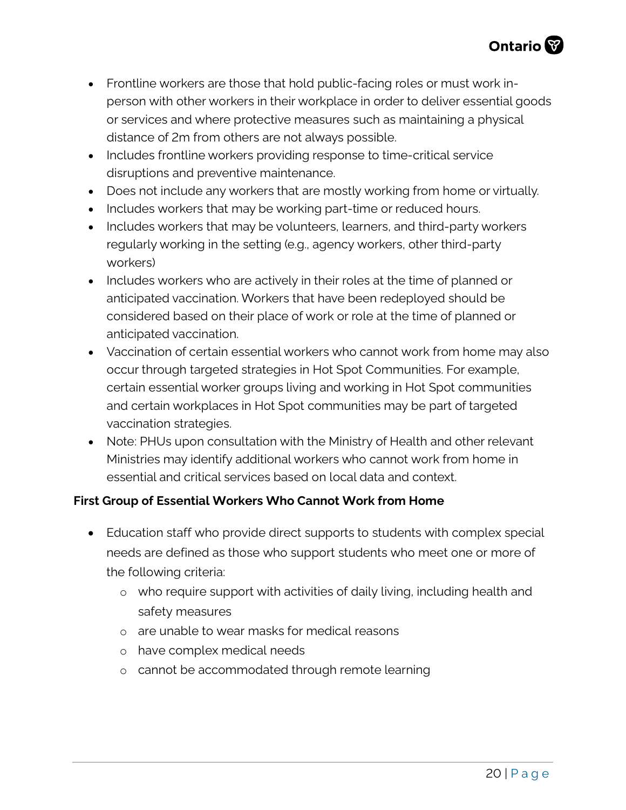- Frontline workers are those that hold public-facing roles or must work inperson with other workers in their workplace in order to deliver essential goods or services and where protective measures such as maintaining a physical distance of 2m from others are not always possible.
- Includes frontline workers providing response to time-critical service disruptions and preventive maintenance.
- Does not include any workers that are mostly working from home or virtually.
- Includes workers that may be working part-time or reduced hours.
- Includes workers that may be volunteers, learners, and third-party workers regularly working in the setting (e.g., agency workers, other third-party workers)
- Includes workers who are actively in their roles at the time of planned or anticipated vaccination. Workers that have been redeployed should be considered based on their place of work or role at the time of planned or anticipated vaccination.
- Vaccination of certain essential workers who cannot work from home may also occur through targeted strategies in Hot Spot Communities. For example, certain essential worker groups living and working in Hot Spot communities and certain workplaces in Hot Spot communities may be part of targeted vaccination strategies.
- Note: PHUs upon consultation with the Ministry of Health and other relevant Ministries may identify additional workers who cannot work from home in essential and critical services based on local data and context.

#### **First Group of Essential Workers Who Cannot Work from Home**

- Education staff who provide direct supports to students with complex special needs are defined as those who support students who meet one or more of the following criteria:
	- o who require support with activities of daily living, including health and safety measures
	- o are unable to wear masks for medical reasons
	- o have complex medical needs
	- o cannot be accommodated through remote learning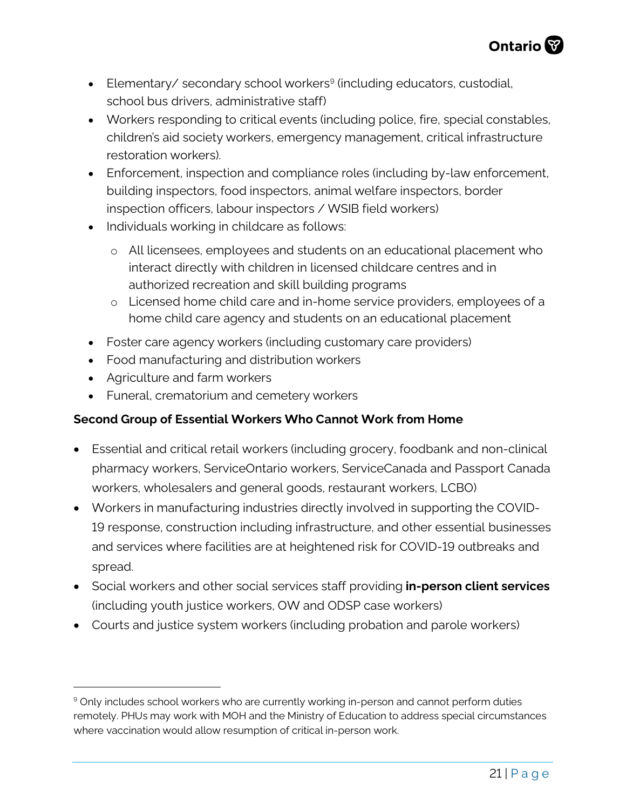

- Elementary/ secondary school workers<sup>[9](#page-20-0)</sup> (including educators, custodial, school bus drivers, administrative staff)
- Workers responding to critical events (including police, fire, special constables, children's aid society workers, emergency management, critical infrastructure restoration workers).
- Enforcement, inspection and compliance roles (including by-law enforcement, building inspectors, food inspectors, animal welfare inspectors, border inspection officers, labour inspectors / WSIB field workers)
- Individuals working in childcare as follows:
	- o All licensees, employees and students on an educational placement who interact directly with children in licensed childcare centres and in authorized recreation and skill building programs
	- o Licensed home child care and in-home service providers, employees of a home child care agency and students on an educational placement
- Foster care agency workers (including customary care providers)
- Food manufacturing and distribution workers
- Agriculture and farm workers
- Funeral, crematorium and cemetery workers

#### **Second Group of Essential Workers Who Cannot Work from Home**

- Essential and critical retail workers (including grocery, foodbank and non-clinical pharmacy workers, ServiceOntario workers, ServiceCanada and Passport Canada workers, wholesalers and general goods, restaurant workers, LCBO)
- Workers in manufacturing industries directly involved in supporting the COVID-19 response, construction including infrastructure, and other essential businesses and services where facilities are at heightened risk for COVID-19 outbreaks and spread.
- Social workers and other social services staff providing **in-person client services**  (including youth justice workers, OW and ODSP case workers)
- Courts and justice system workers (including probation and parole workers)

<span id="page-20-0"></span><sup>&</sup>lt;sup>9</sup> Only includes school workers who are currently working in-person and cannot perform duties remotely. PHUs may work with MOH and the Ministry of Education to address special circumstances where vaccination would allow resumption of critical in-person work.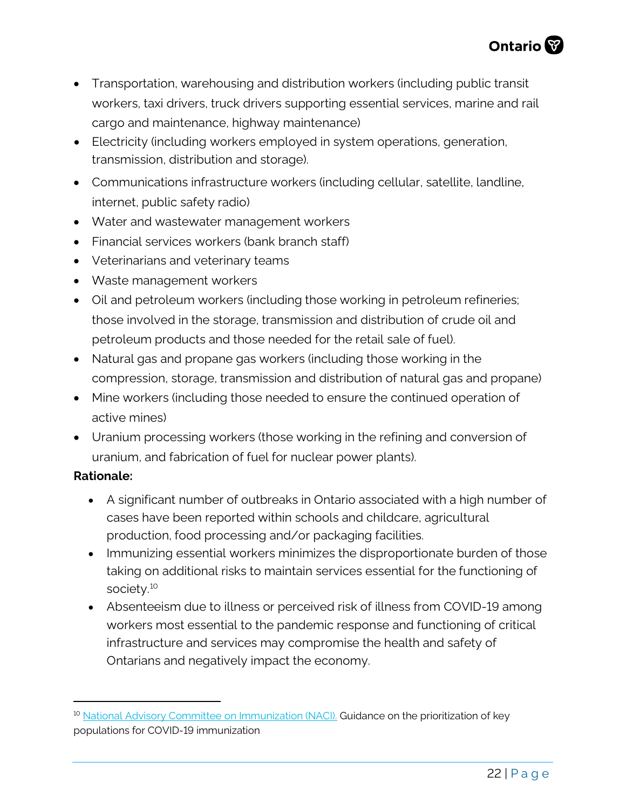

- Transportation, warehousing and distribution workers (including public transit workers, taxi drivers, truck drivers supporting essential services, marine and rail cargo and maintenance, highway maintenance)
- Electricity (including workers employed in system operations, generation, transmission, distribution and storage).
- Communications infrastructure workers (including cellular, satellite, landline, internet, public safety radio)
- Water and wastewater management workers
- Financial services workers (bank branch staff)
- Veterinarians and veterinary teams
- Waste management workers
- Oil and petroleum workers (including those working in petroleum refineries; those involved in the storage, transmission and distribution of crude oil and petroleum products and those needed for the retail sale of fuel).
- Natural gas and propane gas workers (including those working in the compression, storage, transmission and distribution of natural gas and propane)
- Mine workers (including those needed to ensure the continued operation of active mines)
- Uranium processing workers (those working in the refining and conversion of uranium, and fabrication of fuel for nuclear power plants).

#### **Rationale:**

- A significant number of outbreaks in Ontario associated with a high number of cases have been reported within schools and childcare, agricultural production, food processing and/or packaging facilities.
- Immunizing essential workers minimizes the disproportionate burden of those taking on additional risks to maintain services essential for the functioning of society.<sup>[10](#page-21-0)</sup>
- Absenteeism due to illness or perceived risk of illness from COVID-19 among workers most essential to the pandemic response and functioning of critical infrastructure and services may compromise the health and safety of Ontarians and negatively impact the economy.

<span id="page-21-0"></span><sup>&</sup>lt;sup>10</sup> [National Advisory Committee on Immunization \(NACI\).](https://www.canada.ca/en/public-health/services/immunization/national-advisory-committee-on-immunization-naci/guidance-prioritization-key-populations-covid-19-vaccination.html#a3) Guidance on the prioritization of key populations for COVID-19 immunization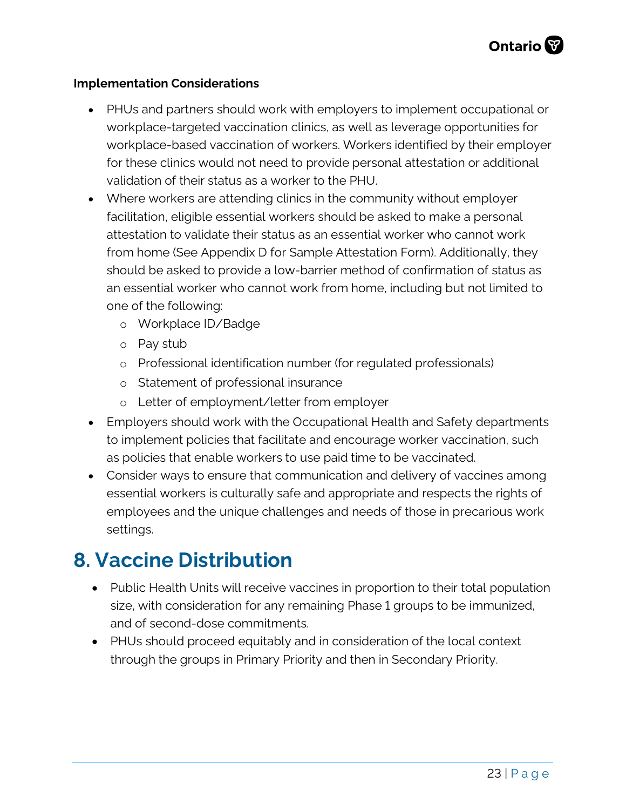#### **Implementation Considerations**

- PHUs and partners should work with employers to implement occupational or workplace-targeted vaccination clinics, as well as leverage opportunities for workplace-based vaccination of workers. Workers identified by their employer for these clinics would not need to provide personal attestation or additional validation of their status as a worker to the PHU.
- Where workers are attending clinics in the community without employer facilitation, eligible essential workers should be asked to make a personal attestation to validate their status as an essential worker who cannot work from home (See Appendix D for Sample Attestation Form). Additionally, they should be asked to provide a low-barrier method of confirmation of status as an essential worker who cannot work from home, including but not limited to one of the following:
	- o Workplace ID/Badge
	- o Pay stub
	- o Professional identification number (for regulated professionals)
	- o Statement of professional insurance
	- o Letter of employment/letter from employer
- Employers should work with the Occupational Health and Safety departments to implement policies that facilitate and encourage worker vaccination, such as policies that enable workers to use paid time to be vaccinated.
- Consider ways to ensure that communication and delivery of vaccines among essential workers is culturally safe and appropriate and respects the rights of employees and the unique challenges and needs of those in precarious work settings.

## <span id="page-22-0"></span>**8. Vaccine Distribution**

- Public Health Units will receive vaccines in proportion to their total population size, with consideration for any remaining Phase 1 groups to be immunized, and of second-dose commitments.
- PHUs should proceed equitably and in consideration of the local context through the groups in Primary Priority and then in Secondary Priority.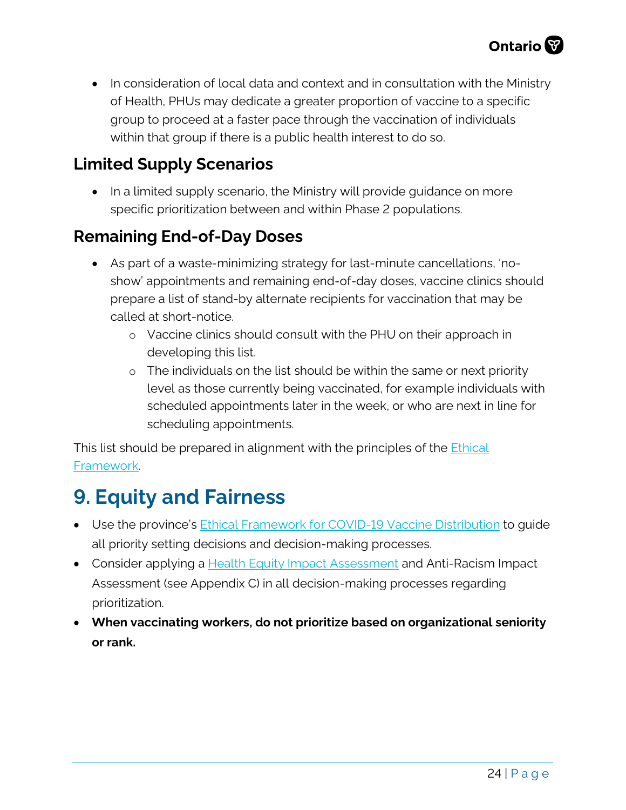• In consideration of local data and context and in consultation with the Ministry of Health, PHUs may dedicate a greater proportion of vaccine to a specific group to proceed at a faster pace through the vaccination of individuals within that group if there is a public health interest to do so.

### <span id="page-23-0"></span>**Limited Supply Scenarios**

• In a limited supply scenario, the Ministry will provide quidance on more specific prioritization between and within Phase 2 populations.

## <span id="page-23-1"></span>**Remaining End-of-Day Doses**

- As part of a waste-minimizing strategy for last-minute cancellations, 'noshow' appointments and remaining end-of-day doses, vaccine clinics should prepare a list of stand-by alternate recipients for vaccination that may be called at short-notice.
	- o Vaccine clinics should consult with the PHU on their approach in developing this list.
	- o The individuals on the list should be within the same or next priority level as those currently being vaccinated, for example individuals with scheduled appointments later in the week, or who are next in line for scheduling appointments.

This list should be prepared in alignment with the principles of the *Ethical* [Framework.](https://files.ontario.ca/moh-ethical-framework-for-covid-19-vaccine-distribution-en-2020-12-30.pdf) 

## <span id="page-23-2"></span>**9. Equity and Fairness**

- Use the province's [Ethical Framework for COVID-19 Vaccine Distribution](https://files.ontario.ca/moh-ethical-framework-for-covid-19-vaccine-distribution-en-2020-12-30.pdf) to guide all priority setting decisions and decision-making processes.
- Consider applying a **Health Equity Impact Assessment** and Anti-Racism Impact Assessment (see Appendix C) in all decision-making processes regarding prioritization.
- **When vaccinating workers, do not prioritize based on organizational seniority or rank.**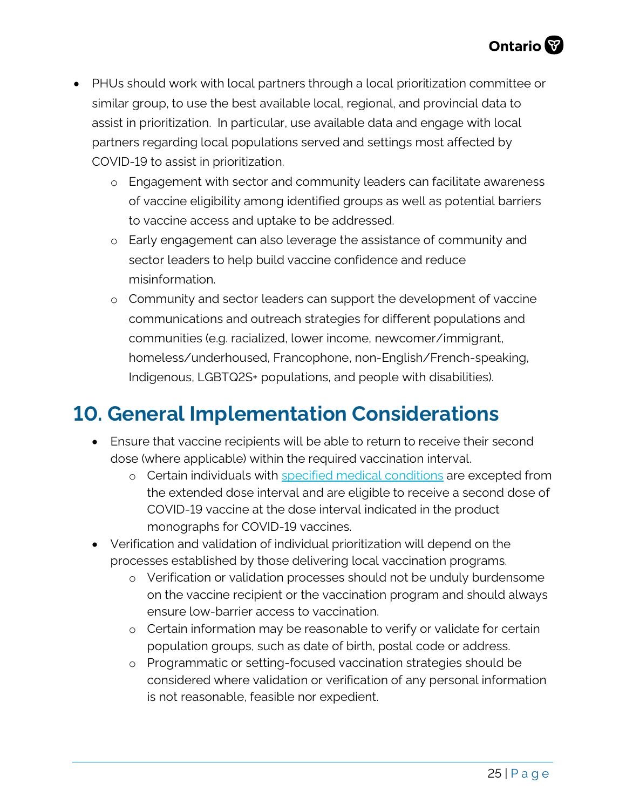- PHUs should work with local partners through a local prioritization committee or similar group, to use the best available local, regional, and provincial data to assist in prioritization. In particular, use available data and engage with local partners regarding local populations served and settings most affected by COVID-19 to assist in prioritization.
	- o Engagement with sector and community leaders can facilitate awareness of vaccine eligibility among identified groups as well as potential barriers to vaccine access and uptake to be addressed.
	- o Early engagement can also leverage the assistance of community and sector leaders to help build vaccine confidence and reduce misinformation.
	- o Community and sector leaders can support the development of vaccine communications and outreach strategies for different populations and communities (e.g. racialized, lower income, newcomer/immigrant, homeless/underhoused, Francophone, non-English/French-speaking, Indigenous, LGBTQ2S+ populations, and people with disabilities).

## <span id="page-24-0"></span>**10. General Implementation Considerations**

- Ensure that vaccine recipients will be able to return to receive their second dose (where applicable) within the required vaccination interval.
	- o Certain individuals with [specified medical conditions](https://www.health.gov.on.ca/en/pro/programs/publichealth/coronavirus/docs/vaccine/COVID_19_medical_exceptions_vaccine_dose_intervals.pdf) are excepted from the extended dose interval and are eligible to receive a second dose of COVID-19 vaccine at the dose interval indicated in the product monographs for COVID-19 vaccines.
- Verification and validation of individual prioritization will depend on the processes established by those delivering local vaccination programs.
	- o Verification or validation processes should not be unduly burdensome on the vaccine recipient or the vaccination program and should always ensure low-barrier access to vaccination.
	- o Certain information may be reasonable to verify or validate for certain population groups, such as date of birth, postal code or address.
	- o Programmatic or setting-focused vaccination strategies should be considered where validation or verification of any personal information is not reasonable, feasible nor expedient.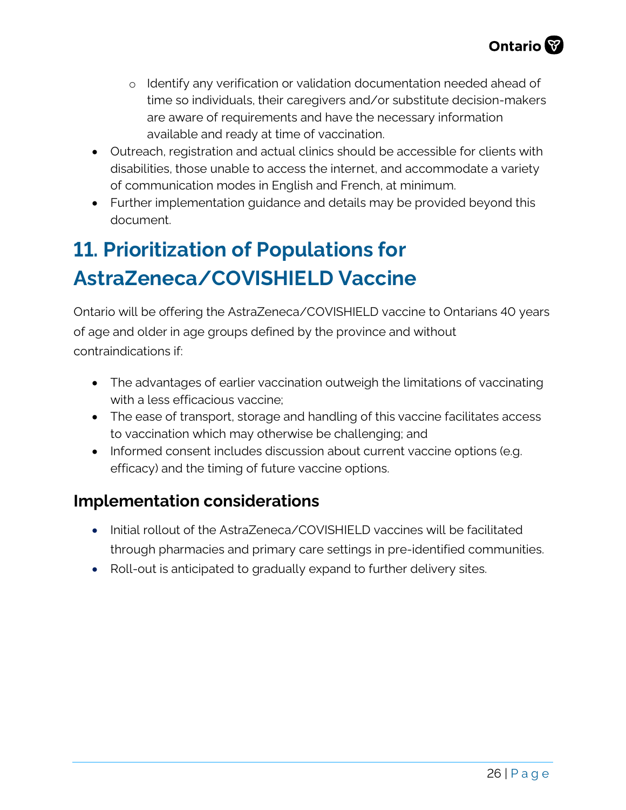- o Identify any verification or validation documentation needed ahead of time so individuals, their caregivers and/or substitute decision-makers are aware of requirements and have the necessary information available and ready at time of vaccination.
- Outreach, registration and actual clinics should be accessible for clients with disabilities, those unable to access the internet, and accommodate a variety of communication modes in English and French, at minimum.
- Further implementation guidance and details may be provided beyond this document.

## <span id="page-25-0"></span>**11. Prioritization of Populations for AstraZeneca/COVISHIELD Vaccine**

Ontario will be offering the AstraZeneca/COVISHIELD vaccine to Ontarians 40 years of age and older in age groups defined by the province and without contraindications if:

- The advantages of earlier vaccination outweigh the limitations of vaccinating with a less efficacious vaccine;
- The ease of transport, storage and handling of this vaccine facilitates access to vaccination which may otherwise be challenging; and
- Informed consent includes discussion about current vaccine options (e.g. efficacy) and the timing of future vaccine options.

### **Implementation considerations**

- Initial rollout of the AstraZeneca/COVISHIELD vaccines will be facilitated through pharmacies and primary care settings in pre-identified communities.
- Roll-out is anticipated to gradually expand to further delivery sites.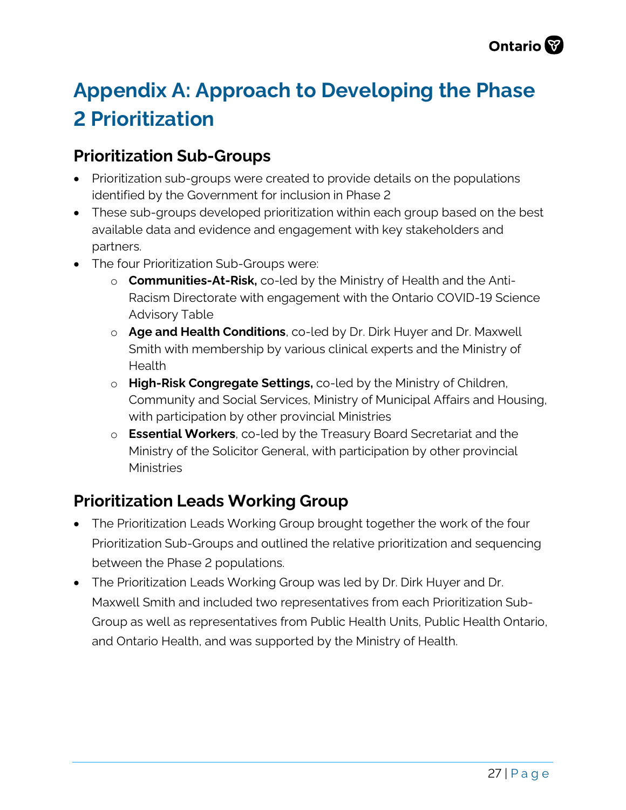## <span id="page-26-0"></span>**Appendix A: Approach to Developing the Phase 2 Prioritization**

### **Prioritization Sub-Groups**

- Prioritization sub-groups were created to provide details on the populations identified by the Government for inclusion in Phase 2
- These sub-groups developed prioritization within each group based on the best available data and evidence and engagement with key stakeholders and partners.
- The four Prioritization Sub-Groups were:
	- o **Communities-At-Risk,** co-led by the Ministry of Health and the Anti-Racism Directorate with engagement with the Ontario COVID-19 Science Advisory Table
	- o **Age and Health Conditions**, co-led by Dr. Dirk Huyer and Dr. Maxwell Smith with membership by various clinical experts and the Ministry of Health
	- o **High-Risk Congregate Settings,** co-led by the Ministry of Children, Community and Social Services, Ministry of Municipal Affairs and Housing, with participation by other provincial Ministries
	- o **Essential Workers**, co-led by the Treasury Board Secretariat and the Ministry of the Solicitor General, with participation by other provincial **Ministries**

## **Prioritization Leads Working Group**

- The Prioritization Leads Working Group brought together the work of the four Prioritization Sub-Groups and outlined the relative prioritization and sequencing between the Phase 2 populations.
- The Prioritization Leads Working Group was led by Dr. Dirk Huyer and Dr. Maxwell Smith and included two representatives from each Prioritization Sub-Group as well as representatives from Public Health Units, Public Health Ontario, and Ontario Health, and was supported by the Ministry of Health.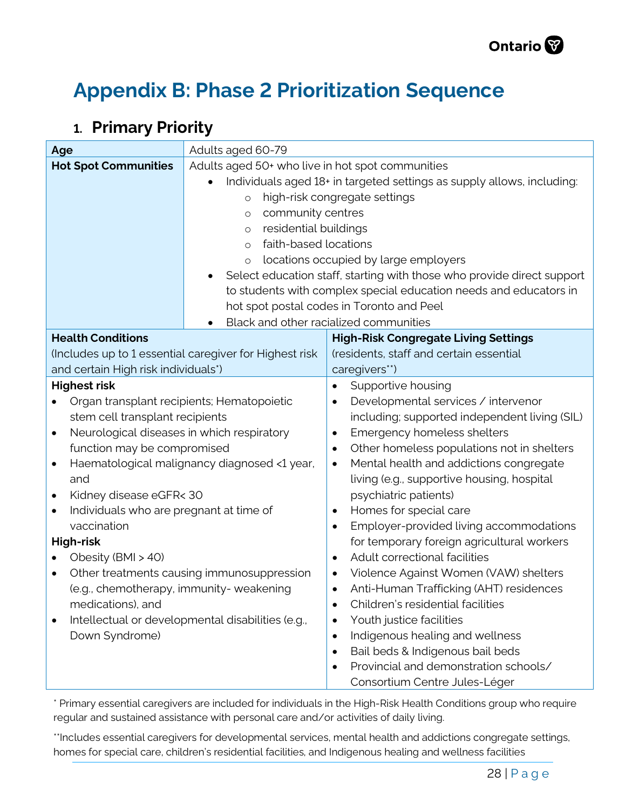

## <span id="page-27-0"></span>**Appendix B: Phase 2 Prioritization Sequence**

### **1. Primary Priority**

| Age                                                                    | Adults aged 60-79                                                      |                                                         |  |
|------------------------------------------------------------------------|------------------------------------------------------------------------|---------------------------------------------------------|--|
| <b>Hot Spot Communities</b>                                            | Adults aged 50+ who live in hot spot communities                       |                                                         |  |
|                                                                        | Individuals aged 18+ in targeted settings as supply allows, including: |                                                         |  |
|                                                                        | high-risk congregate settings<br>$\circ$                               |                                                         |  |
|                                                                        | community centres<br>$\circ$                                           |                                                         |  |
|                                                                        | residential buildings<br>$\circ$                                       |                                                         |  |
|                                                                        | faith-based locations<br>$\circ$                                       |                                                         |  |
|                                                                        | locations occupied by large employers<br>$\circ$                       |                                                         |  |
|                                                                        | Select education staff, starting with those who provide direct support |                                                         |  |
|                                                                        | to students with complex special education needs and educators in      |                                                         |  |
|                                                                        | hot spot postal codes in Toronto and Peel                              |                                                         |  |
| Black and other racialized communities                                 |                                                                        |                                                         |  |
| <b>Health Conditions</b>                                               |                                                                        | <b>High-Risk Congregate Living Settings</b>             |  |
|                                                                        | (Includes up to 1 essential caregiver for Highest risk                 | (residents, staff and certain essential                 |  |
| and certain High risk individuals*)                                    | caregivers**)                                                          |                                                         |  |
| <b>Highest risk</b><br>Supportive housing                              |                                                                        |                                                         |  |
| Organ transplant recipients; Hematopoietic                             |                                                                        | Developmental services / intervenor                     |  |
| stem cell transplant recipients                                        |                                                                        | including; supported independent living (SIL)           |  |
| Neurological diseases in which respiratory<br>$\bullet$                |                                                                        | Emergency homeless shelters                             |  |
| function may be compromised                                            |                                                                        | Other homeless populations not in shelters<br>$\bullet$ |  |
| Haematological malignancy diagnosed <1 year,<br>$\bullet$<br>$\bullet$ |                                                                        | Mental health and addictions congregate                 |  |
| living (e.g., supportive housing, hospital<br>and                      |                                                                        |                                                         |  |
| psychiatric patients)<br>Kidney disease eGFR< 30<br>$\bullet$          |                                                                        |                                                         |  |
| Individuals who are pregnant at time of<br>$\bullet$<br>$\bullet$      |                                                                        | Homes for special care                                  |  |
| vaccination                                                            |                                                                        | Employer-provided living accommodations                 |  |
| for temporary foreign agricultural workers<br><b>High-risk</b>         |                                                                        |                                                         |  |
| Obesity (BMI > 40)                                                     |                                                                        | Adult correctional facilities<br>$\bullet$              |  |
| Other treatments causing immunosuppression<br>$\bullet$                |                                                                        | Violence Against Women (VAW) shelters                   |  |
| (e.g., chemotherapy, immunity- weakening                               |                                                                        | Anti-Human Trafficking (AHT) residences                 |  |
| medications), and                                                      |                                                                        | Children's residential facilities                       |  |
| Intellectual or developmental disabilities (e.g.,<br>$\bullet$         |                                                                        | Youth justice facilities                                |  |
| Down Syndrome)<br>Indigenous healing and wellness<br>$\bullet$         |                                                                        |                                                         |  |
|                                                                        |                                                                        | Bail beds & Indigenous bail beds<br>$\bullet$           |  |
|                                                                        |                                                                        | Provincial and demonstration schools/                   |  |
|                                                                        |                                                                        | Consortium Centre Jules-Léger                           |  |

\* Primary essential caregivers are included for individuals in the High-Risk Health Conditions group who require regular and sustained assistance with personal care and/or activities of daily living.

\*\*Includes essential caregivers for developmental services, mental health and addictions congregate settings, homes for special care, children's residential facilities, and Indigenous healing and wellness facilities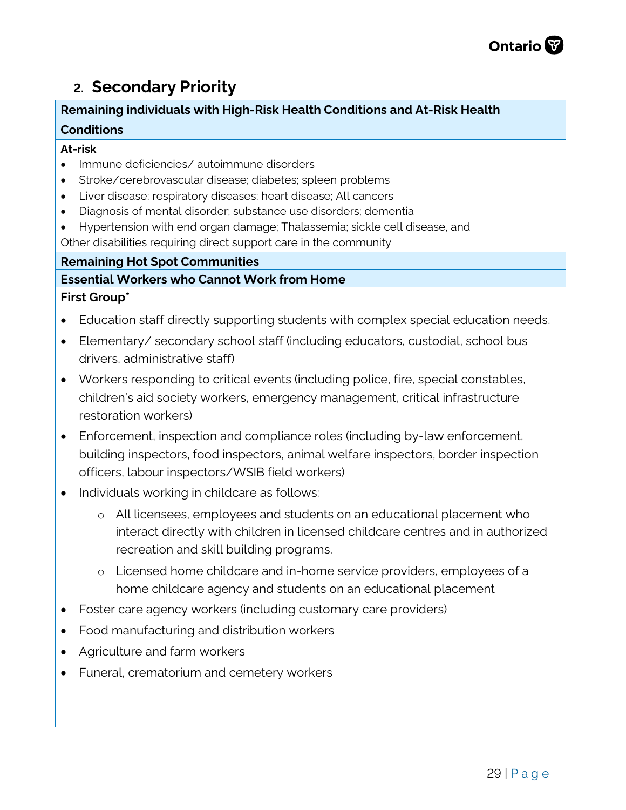## **2. Secondary Priority**

#### **Remaining individuals with High-Risk Health Conditions and At-Risk Health Conditions**

#### **At-risk**

- Immune deficiencies/ autoimmune disorders
- Stroke/cerebrovascular disease; diabetes; spleen problems
- Liver disease; respiratory diseases; heart disease; All cancers
- Diagnosis of mental disorder; substance use disorders; dementia
- Hypertension with end organ damage; Thalassemia; sickle cell disease, and

Other disabilities requiring direct support care in the community

#### **Remaining Hot Spot Communities**

## **Essential Workers who Cannot Work from Home**

#### **First Group\***

- Education staff directly supporting students with complex special education needs.
- Elementary/ secondary school staff (including educators, custodial, school bus drivers, administrative staff)
- Workers responding to critical events (including police, fire, special constables, children's aid society workers, emergency management, critical infrastructure restoration workers)
- Enforcement, inspection and compliance roles (including by-law enforcement, building inspectors, food inspectors, animal welfare inspectors, border inspection officers, labour inspectors/WSIB field workers)
- Individuals working in childcare as follows:
	- o All licensees, employees and students on an educational placement who interact directly with children in licensed childcare centres and in authorized recreation and skill building programs.
	- o Licensed home childcare and in-home service providers, employees of a home childcare agency and students on an educational placement
- Foster care agency workers (including customary care providers)
- Food manufacturing and distribution workers
- Agriculture and farm workers
- Funeral, crematorium and cemetery workers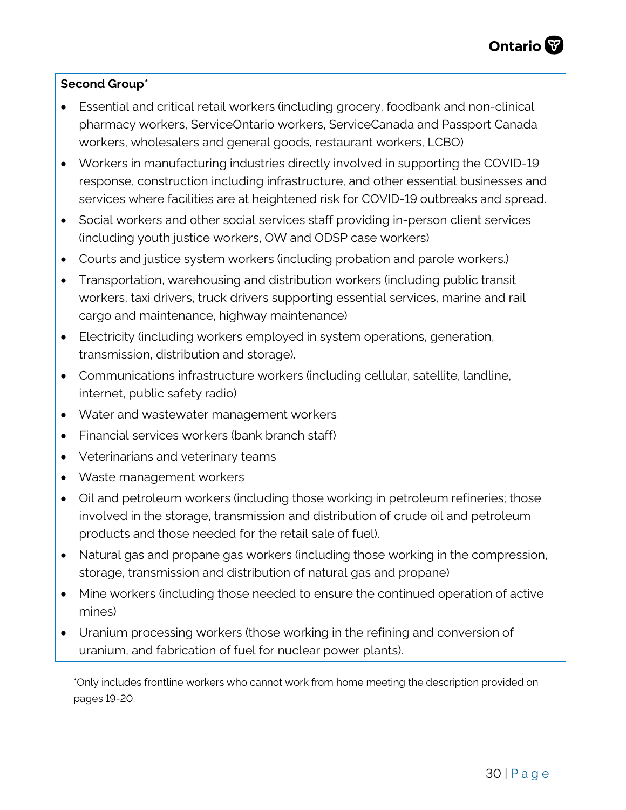#### **Second Group\***

- Essential and critical retail workers (including grocery, foodbank and non-clinical pharmacy workers, ServiceOntario workers, ServiceCanada and Passport Canada workers, wholesalers and general goods, restaurant workers, LCBO)
- Workers in manufacturing industries directly involved in supporting the COVID-19 response, construction including infrastructure, and other essential businesses and services where facilities are at heightened risk for COVID-19 outbreaks and spread.
- Social workers and other social services staff providing in-person client services (including youth justice workers, OW and ODSP case workers)
- Courts and justice system workers (including probation and parole workers.)
- Transportation, warehousing and distribution workers (including public transit workers, taxi drivers, truck drivers supporting essential services, marine and rail cargo and maintenance, highway maintenance)
- Electricity (including workers employed in system operations, generation, transmission, distribution and storage).
- Communications infrastructure workers (including cellular, satellite, landline, internet, public safety radio)
- Water and wastewater management workers
- Financial services workers (bank branch staff)
- Veterinarians and veterinary teams
- Waste management workers
- Oil and petroleum workers (including those working in petroleum refineries; those involved in the storage, transmission and distribution of crude oil and petroleum products and those needed for the retail sale of fuel).
- Natural gas and propane gas workers (including those working in the compression, storage, transmission and distribution of natural gas and propane)
- Mine workers (including those needed to ensure the continued operation of active mines)
- Uranium processing workers (those working in the refining and conversion of uranium, and fabrication of fuel for nuclear power plants).

\*Only includes frontline workers who cannot work from home meeting the description provided on pages 19-20.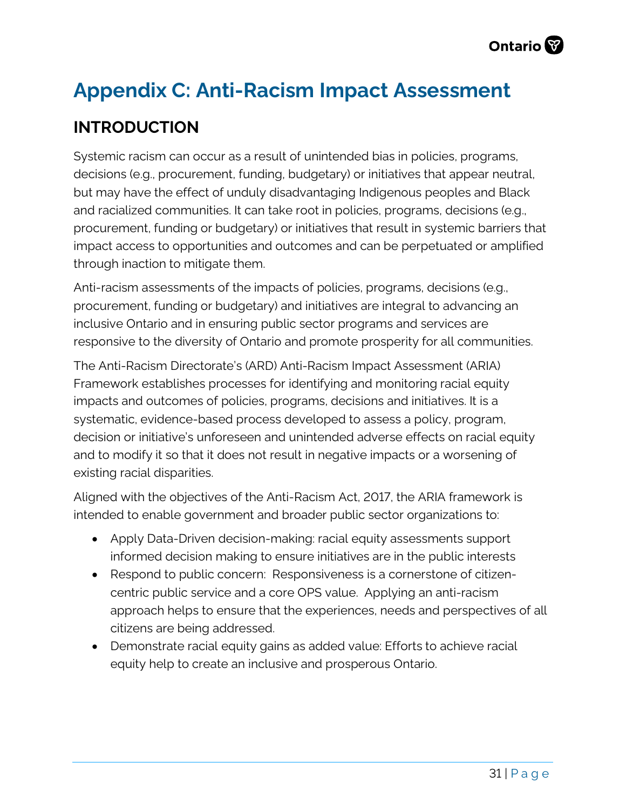## <span id="page-30-0"></span>**Appendix C: Anti-Racism Impact Assessment**

## **INTRODUCTION**

Systemic racism can occur as a result of unintended bias in policies, programs, decisions (e.g., procurement, funding, budgetary) or initiatives that appear neutral, but may have the effect of unduly disadvantaging Indigenous peoples and Black and racialized communities. It can take root in policies, programs, decisions (e.g., procurement, funding or budgetary) or initiatives that result in systemic barriers that impact access to opportunities and outcomes and can be perpetuated or amplified through inaction to mitigate them.

Anti-racism assessments of the impacts of policies, programs, decisions (e.g., procurement, funding or budgetary) and initiatives are integral to advancing an inclusive Ontario and in ensuring public sector programs and services are responsive to the diversity of Ontario and promote prosperity for all communities.

The Anti-Racism Directorate's (ARD) Anti-Racism Impact Assessment (ARIA) Framework establishes processes for identifying and monitoring racial equity impacts and outcomes of policies, programs, decisions and initiatives. It is a systematic, evidence-based process developed to assess a policy, program, decision or initiative's unforeseen and unintended adverse effects on racial equity and to modify it so that it does not result in negative impacts or a worsening of existing racial disparities.

Aligned with the objectives of the Anti-Racism Act, 2017, the ARIA framework is intended to enable government and broader public sector organizations to:

- Apply Data-Driven decision-making: racial equity assessments support informed decision making to ensure initiatives are in the public interests
- Respond to public concern: Responsiveness is a cornerstone of citizencentric public service and a core OPS value. Applying an anti-racism approach helps to ensure that the experiences, needs and perspectives of all citizens are being addressed.
- Demonstrate racial equity gains as added value: Efforts to achieve racial equity help to create an inclusive and prosperous Ontario.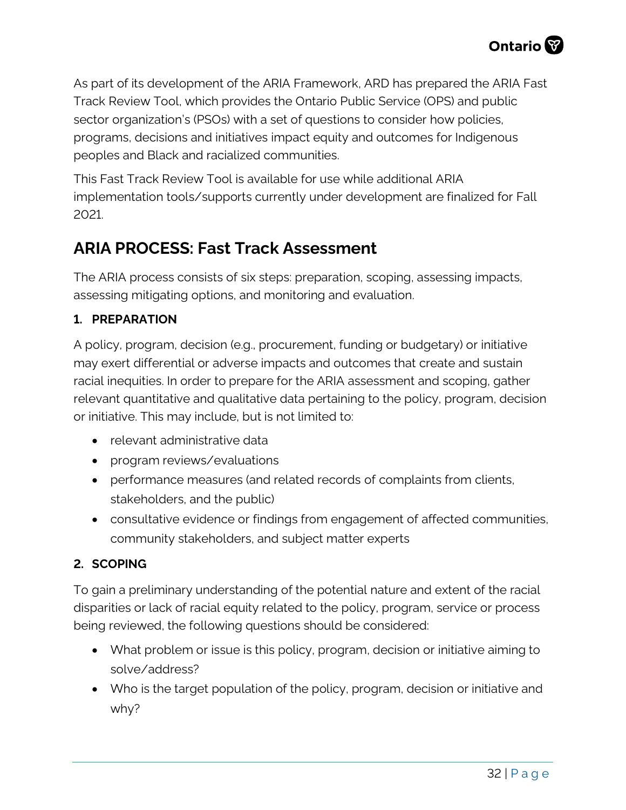As part of its development of the ARIA Framework, ARD has prepared the ARIA Fast Track Review Tool, which provides the Ontario Public Service (OPS) and public sector organization's (PSOs) with a set of questions to consider how policies, programs, decisions and initiatives impact equity and outcomes for Indigenous peoples and Black and racialized communities.

This Fast Track Review Tool is available for use while additional ARIA implementation tools/supports currently under development are finalized for Fall 2021.

## **ARIA PROCESS: Fast Track Assessment**

The ARIA process consists of six steps: preparation, scoping, assessing impacts, assessing mitigating options, and monitoring and evaluation.

#### **1. PREPARATION**

A policy, program, decision (e.g., procurement, funding or budgetary) or initiative may exert differential or adverse impacts and outcomes that create and sustain racial inequities. In order to prepare for the ARIA assessment and scoping, gather relevant quantitative and qualitative data pertaining to the policy, program, decision or initiative. This may include, but is not limited to:

- relevant administrative data
- program reviews/evaluations
- performance measures (and related records of complaints from clients, stakeholders, and the public)
- consultative evidence or findings from engagement of affected communities, community stakeholders, and subject matter experts

#### **2. SCOPING**

To gain a preliminary understanding of the potential nature and extent of the racial disparities or lack of racial equity related to the policy, program, service or process being reviewed, the following questions should be considered:

- What problem or issue is this policy, program, decision or initiative aiming to solve/address?
- Who is the target population of the policy, program, decision or initiative and why?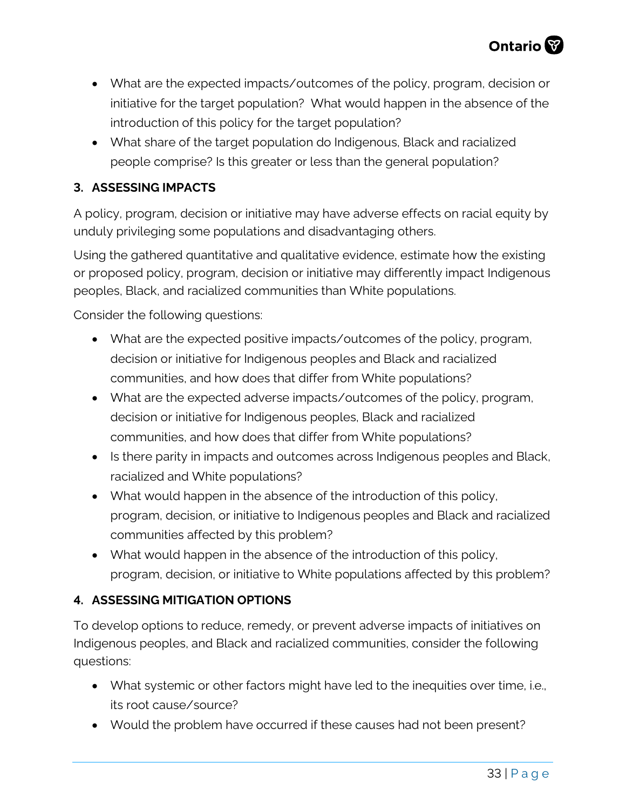- What are the expected impacts/outcomes of the policy, program, decision or initiative for the target population? What would happen in the absence of the introduction of this policy for the target population?
- What share of the target population do Indigenous, Black and racialized people comprise? Is this greater or less than the general population?

#### **3. ASSESSING IMPACTS**

A policy, program, decision or initiative may have adverse effects on racial equity by unduly privileging some populations and disadvantaging others.

Using the gathered quantitative and qualitative evidence, estimate how the existing or proposed policy, program, decision or initiative may differently impact Indigenous peoples, Black, and racialized communities than White populations.

Consider the following questions:

- What are the expected positive impacts/outcomes of the policy, program, decision or initiative for Indigenous peoples and Black and racialized communities, and how does that differ from White populations?
- What are the expected adverse impacts/outcomes of the policy, program, decision or initiative for Indigenous peoples, Black and racialized communities, and how does that differ from White populations?
- Is there parity in impacts and outcomes across Indigenous peoples and Black, racialized and White populations?
- What would happen in the absence of the introduction of this policy, program, decision, or initiative to Indigenous peoples and Black and racialized communities affected by this problem?
- What would happen in the absence of the introduction of this policy, program, decision, or initiative to White populations affected by this problem?

#### **4. ASSESSING MITIGATION OPTIONS**

To develop options to reduce, remedy, or prevent adverse impacts of initiatives on Indigenous peoples, and Black and racialized communities, consider the following questions:

- What systemic or other factors might have led to the inequities over time, i.e., its root cause/source?
- Would the problem have occurred if these causes had not been present?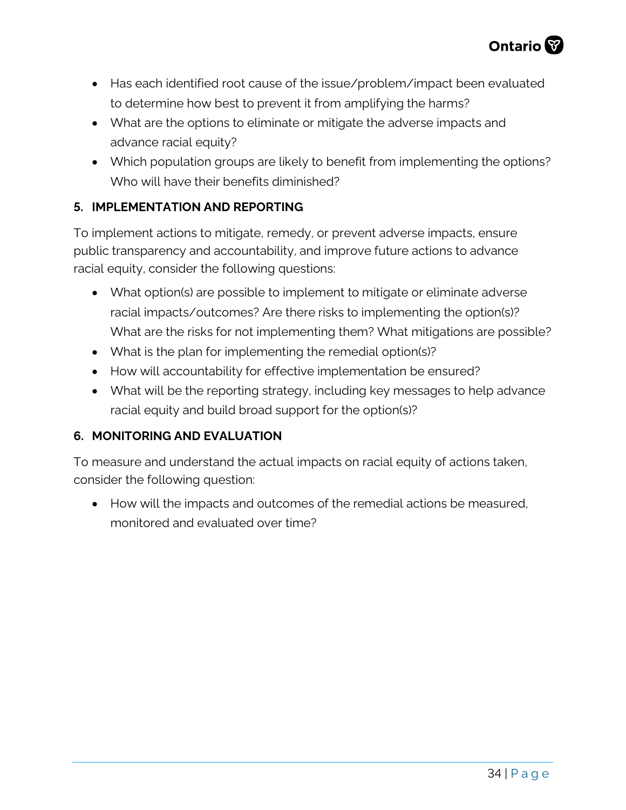

- Has each identified root cause of the issue/problem/impact been evaluated to determine how best to prevent it from amplifying the harms?
- What are the options to eliminate or mitigate the adverse impacts and advance racial equity?
- Which population groups are likely to benefit from implementing the options? Who will have their benefits diminished?

#### **5. IMPLEMENTATION AND REPORTING**

To implement actions to mitigate, remedy, or prevent adverse impacts, ensure public transparency and accountability, and improve future actions to advance racial equity, consider the following questions:

- What option(s) are possible to implement to mitigate or eliminate adverse racial impacts/outcomes? Are there risks to implementing the option(s)? What are the risks for not implementing them? What mitigations are possible?
- What is the plan for implementing the remedial option(s)?
- How will accountability for effective implementation be ensured?
- What will be the reporting strategy, including key messages to help advance racial equity and build broad support for the option(s)?

#### **6. MONITORING AND EVALUATION**

To measure and understand the actual impacts on racial equity of actions taken, consider the following question:

• How will the impacts and outcomes of the remedial actions be measured, monitored and evaluated over time?